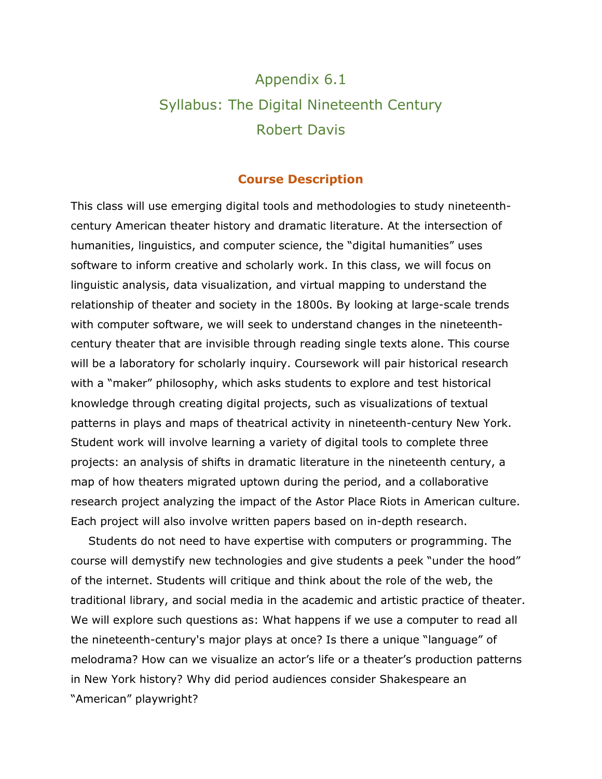# Appendix 6.1 Syllabus: The Digital Nineteenth Century Robert Davis

#### **Course Description**

This class will use emerging digital tools and methodologies to study nineteenthcentury American theater history and dramatic literature. At the intersection of humanities, linguistics, and computer science, the "digital humanities" uses software to inform creative and scholarly work. In this class, we will focus on linguistic analysis, data visualization, and virtual mapping to understand the relationship of theater and society in the 1800s. By looking at large-scale trends with computer software, we will seek to understand changes in the nineteenthcentury theater that are invisible through reading single texts alone. This course will be a laboratory for scholarly inquiry. Coursework will pair historical research with a "maker" philosophy, which asks students to explore and test historical knowledge through creating digital projects, such as visualizations of textual patterns in plays and maps of theatrical activity in nineteenth-century New York. Student work will involve learning a variety of digital tools to complete three projects: an analysis of shifts in dramatic literature in the nineteenth century, a map of how theaters migrated uptown during the period, and a collaborative research project analyzing the impact of the Astor Place Riots in American culture. Each project will also involve written papers based on in-depth research.

Students do not need to have expertise with computers or programming. The course will demystify new technologies and give students a peek "under the hood" of the internet. Students will critique and think about the role of the web, the traditional library, and social media in the academic and artistic practice of theater. We will explore such questions as: What happens if we use a computer to read all the nineteenth-century's major plays at once? Is there a unique "language" of melodrama? How can we visualize an actor's life or a theater's production patterns in New York history? Why did period audiences consider Shakespeare an "American" playwright?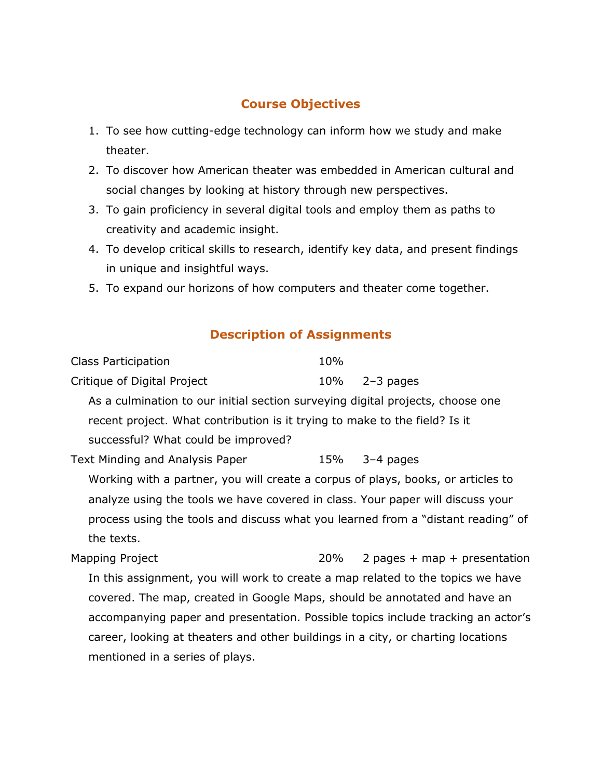## **Course Objectives**

- 1. To see how cutting-edge technology can inform how we study and make theater.
- 2. To discover how American theater was embedded in American cultural and social changes by looking at history through new perspectives.
- 3. To gain proficiency in several digital tools and employ them as paths to creativity and academic insight.
- 4. To develop critical skills to research, identify key data, and present findings in unique and insightful ways.
- 5. To expand our horizons of how computers and theater come together.

## **Description of Assignments**

| Class Participation                                                              | 10% |                                |
|----------------------------------------------------------------------------------|-----|--------------------------------|
| Critique of Digital Project                                                      | 10% | $2-3$ pages                    |
| As a culmination to our initial section surveying digital projects, choose one   |     |                                |
| recent project. What contribution is it trying to make to the field? Is it       |     |                                |
| successful? What could be improved?                                              |     |                                |
| Text Minding and Analysis Paper                                                  |     | $15\%$ 3-4 pages               |
| Working with a partner, you will create a corpus of plays, books, or articles to |     |                                |
| analyze using the tools we have covered in class. Your paper will discuss your   |     |                                |
| process using the tools and discuss what you learned from a "distant reading" of |     |                                |
| the texts.                                                                       |     |                                |
| Mapping Project                                                                  | 20% | 2 pages + $map$ + presentation |
| In this assignment, you will work to create a map related to the topics we have  |     |                                |
| covered. The map, created in Google Maps, should be annotated and have an        |     |                                |
| accompanying paper and presentation. Possible topics include tracking an actor's |     |                                |
| career, looking at theaters and other buildings in a city, or charting locations |     |                                |
| mentioned in a series of plays.                                                  |     |                                |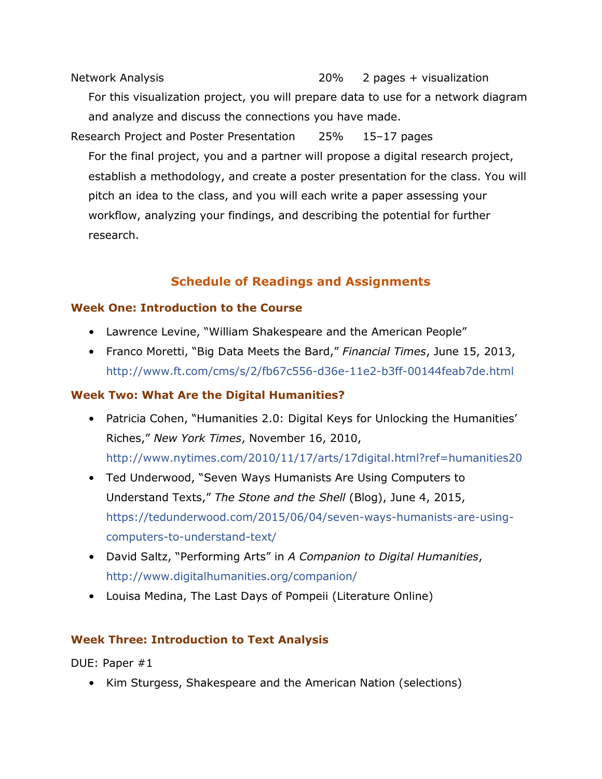Network Analysis 20% 2 pages + visualization For this visualization project, you will prepare data to use for a network diagram and analyze and discuss the connections you have made. Research Project and Poster Presentation 25% 15–17 pages For the final project, you and a partner will propose a digital research project, establish a methodology, and create a poster presentation for the class. You will pitch an idea to the class, and you will each write a paper assessing your workflow, analyzing your findings, and describing the potential for further research.

## **Schedule of Readings and Assignments**

#### **Week One: Introduction to the Course**

- Lawrence Levine, "William Shakespeare and the American People"
- Franco Moretti, "Big Data Meets the Bard," *Financial Times*, June 15, 2013, <http://www.ft.com/cms/s/2/fb67c556-d36e-11e2-b3ff-00144feab7de.html>

## **Week Two: What Are the Digital Humanities?**

- Patricia Cohen, ["Humanities 2.0: Digital Keys for Unlocking the Humanities'](http://www.nytimes.com/2010/11/17/arts/17digital.html?ref=humanities20)  [Riches,](http://www.nytimes.com/2010/11/17/arts/17digital.html?ref=humanities20)" *New York Times*, November 16, 2010, <http://www.nytimes.com/2010/11/17/arts/17digital.html?ref=humanities20>
- Ted Underwood, "Seven Ways Humanists Are Using Computers to Understand Texts," *The Stone and the Shell* (Blog), June 4, 2015, [https://tedunderwood.com/2015/06/04/seven-ways-humanists-are-using](https://tedunderwood.com/2015/06/04/seven-ways-humanists-are-using-computers-to-understand-text/)[computers-to-understand-text/](https://tedunderwood.com/2015/06/04/seven-ways-humanists-are-using-computers-to-understand-text/)
- David Saltz, "Performing Arts" in *A Companion to Digital Humanities*, <http://www.digitalhumanities.org/companion/>
- Louisa Medina, The Last Days of Pompeii (Literature Online)

## **Week Three: Introduction to Text Analysis**

DUE: Paper #1

• Kim Sturgess, Shakespeare and the American Nation (selections)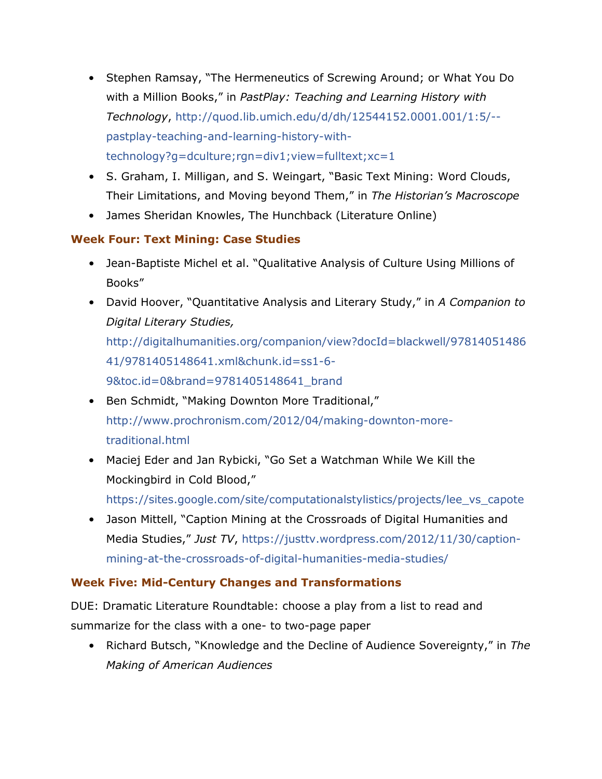- Stephen Ramsay, "The Hermeneutics of Screwing Around; or What You Do with a Million Books," in *PastPlay: Teaching and Learning History with Technology*, [http://quod.lib.umich.edu/d/dh/12544152.0001.001/1:5/-](http://quod.lib.umich.edu/d/dh/12544152.0001.001/1:5/--pastplay-teaching-and-learning-history-with-technology?g=dculture;rgn=div1;view=fulltext;xc=1) [pastplay-teaching-and-learning-history-with](http://quod.lib.umich.edu/d/dh/12544152.0001.001/1:5/--pastplay-teaching-and-learning-history-with-technology?g=dculture;rgn=div1;view=fulltext;xc=1)[technology?g=dculture;rgn=div1;view=fulltext;xc=1](http://quod.lib.umich.edu/d/dh/12544152.0001.001/1:5/--pastplay-teaching-and-learning-history-with-technology?g=dculture;rgn=div1;view=fulltext;xc=1)
- S. Graham, I. Milligan, and S. Weingart, "Basic Text Mining: Word Clouds, Their Limitations, and Moving beyond Them," in *The Historian's Macroscope*
- James Sheridan Knowles, The Hunchback (Literature Online)

## **Week Four: Text Mining: Case Studies**

- Jean-Baptiste Michel et al. "Qualitative Analysis of Culture Using Millions of Books"
- David Hoover, "Quantitative Analysis and Literary Study," in *A Companion to Digital Literary Studies,* [http://digitalhumanities.org/companion/view?docId=blackwell/97814051486](http://digitalhumanities.org/companion/view?docId=blackwell/9781405148641/9781405148641.xml&chunk.id=ss1-6-9&toc.id=0&brand=9781405148641_brand) [41/9781405148641.xml&chunk.id=ss1-6-](http://digitalhumanities.org/companion/view?docId=blackwell/9781405148641/9781405148641.xml&chunk.id=ss1-6-9&toc.id=0&brand=9781405148641_brand) [9&toc.id=0&brand=9781405148641\\_brand](http://digitalhumanities.org/companion/view?docId=blackwell/9781405148641/9781405148641.xml&chunk.id=ss1-6-9&toc.id=0&brand=9781405148641_brand)
- Ben Schmidt, "Making Downton More Traditional," [http://www.prochronism.com/2012/04/making-downton-more](http://www.prochronism.com/2012/04/making-downton-more-traditional.html)[traditional.html](http://www.prochronism.com/2012/04/making-downton-more-traditional.html)
- Maciej Eder and Jan Rybicki, "Go Set a Watchman While We Kill the Mockingbird in Cold Blood,"

[https://sites.google.com/site/computationalstylistics/projects/lee\\_vs\\_capote](https://sites.google.com/site/computationalstylistics/projects/lee_vs_capote)

• Jason Mittell, "Caption Mining at the Crossroads of Digital Humanities and Media Studies," *Just TV*, [https://justtv.wordpress.com/2012/11/30/caption](https://justtv.wordpress.com/2012/11/30/caption-mining-at-the-crossroads-of-digital-humanities-media-studies/)[mining-at-the-crossroads-of-digital-humanities-media-studies/](https://justtv.wordpress.com/2012/11/30/caption-mining-at-the-crossroads-of-digital-humanities-media-studies/)

## **Week Five: Mid-Century Changes and Transformations**

DUE: Dramatic Literature Roundtable: choose a play from a list to read and summarize for the class with a one- to two-page paper

• Richard Butsch, "Knowledge and the Decline of Audience Sovereignty," in *The Making of American Audiences*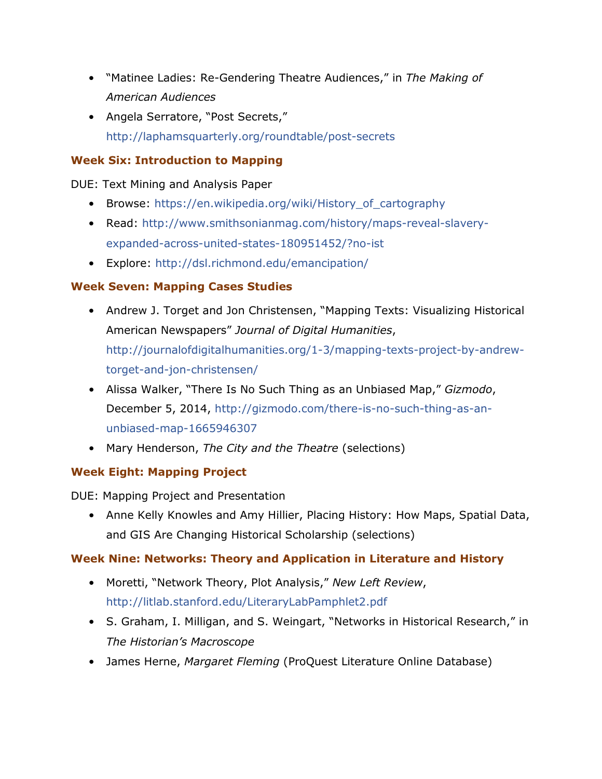- "Matinee Ladies: Re-Gendering Theatre Audiences," in *The Making of American Audiences*
- Angela Serratore, "Post Secrets," <http://laphamsquarterly.org/roundtable/post-secrets>

## **Week Six: Introduction to Mapping**

DUE: Text Mining and Analysis Paper

- Browse: [https://en.wikipedia.org/wiki/History\\_of\\_cartography](https://en.wikipedia.org/wiki/History_of_cartography)
- Read: [http://www.smithsonianmag.com/history/maps-reveal-slavery](http://www.smithsonianmag.com/history/maps-reveal-slavery-expanded-across-united-states-180951452/?no-ist)[expanded-across-united-states-180951452/?no-ist](http://www.smithsonianmag.com/history/maps-reveal-slavery-expanded-across-united-states-180951452/?no-ist)
- Explore:<http://dsl.richmond.edu/emancipation/>

## **Week Seven: Mapping Cases Studies**

- Andrew J. Torget and Jon Christensen, "Mapping Texts: Visualizing Historical American Newspapers" *Journal of Digital Humanities*, [http://journalofdigitalhumanities.org/1-3/mapping-texts-project-by-andrew](http://journalofdigitalhumanities.org/1-3/mapping-texts-project-by-andrew-torget-and-jon-christensen/)[torget-and-jon-christensen/](http://journalofdigitalhumanities.org/1-3/mapping-texts-project-by-andrew-torget-and-jon-christensen/)
- Alissa Walker, "There Is No Such Thing as an Unbiased Map," *Gizmodo*, December 5, 2014, [http://gizmodo.com/there-is-no-such-thing-as-an](http://gizmodo.com/there-is-no-such-thing-as-an-unbiased-map-1665946307)[unbiased-map-1665946307](http://gizmodo.com/there-is-no-such-thing-as-an-unbiased-map-1665946307)
- Mary Henderson, *The City and the Theatre* (selections)

## **Week Eight: Mapping Project**

DUE: Mapping Project and Presentation

• Anne Kelly Knowles and Amy Hillier, Placing History: How Maps, Spatial Data, and GIS Are Changing Historical Scholarship (selections)

## **Week Nine: Networks: Theory and Application in Literature and History**

- Moretti, "Network Theory, Plot Analysis," *New Left Review*, <http://litlab.stanford.edu/LiteraryLabPamphlet2.pdf>
- S. Graham, I. Milligan, and S. Weingart, "Networks in Historical Research," in *The Historian's Macroscope*
- James Herne, *Margaret Fleming* (ProQuest Literature Online Database)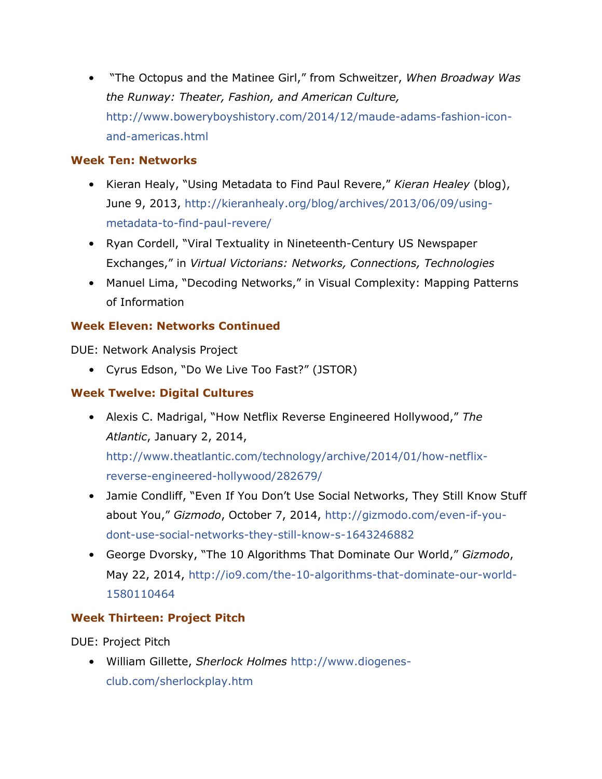• "The Octopus and the Matinee Girl," from Schweitzer, *When Broadway Was the Runway: Theater, Fashion, and American Culture,* [http://www.boweryboyshistory.com/2014/12/maude-adams-fashion-icon](http://www.boweryboyshistory.com/2014/12/maude-adams-fashion-icon-and-americas.html)[and-americas.html](http://www.boweryboyshistory.com/2014/12/maude-adams-fashion-icon-and-americas.html)

## **Week Ten: Networks**

- Kieran Healy, "Using Metadata to Find Paul Revere," *Kieran Healey* (blog), June 9, 2013, [http://kieranhealy.org/blog/archives/2013/06/09/using](http://kieranhealy.org/blog/archives/2013/06/09/using-metadata-to-find-paul-revere/)[metadata-to-find-paul-revere/](http://kieranhealy.org/blog/archives/2013/06/09/using-metadata-to-find-paul-revere/)
- Ryan Cordell, "Viral Textuality in Nineteenth-Century US Newspaper Exchanges," in *Virtual Victorians: Networks, Connections, Technologies*
- Manuel Lima, "Decoding Networks," in Visual Complexity: Mapping Patterns of Information

## **Week Eleven: Networks Continued**

DUE: Network Analysis Project

• Cyrus Edson, "Do We Live Too Fast?" (JSTOR)

## **Week Twelve: Digital Cultures**

• Alexis C. Madrigal, "How Netflix Reverse Engineered Hollywood," *The Atlantic*, January 2, 2014,

[http://www.theatlantic.com/technology/archive/2014/01/how-netflix](http://www.theatlantic.com/technology/archive/2014/01/how-netflix-reverse-engineered-hollywood/282679/)[reverse-engineered-hollywood/282679/](http://www.theatlantic.com/technology/archive/2014/01/how-netflix-reverse-engineered-hollywood/282679/)

- Jamie Condliff, "Even If You Don't Use Social Networks, They Still Know Stuff about You," *Gizmodo*, October 7, 2014, [http://gizmodo.com/even-if-you](http://gizmodo.com/even-if-you-dont-use-social-networks-they-still-know-s-1643246882)[dont-use-social-networks-they-still-know-s-1643246882](http://gizmodo.com/even-if-you-dont-use-social-networks-they-still-know-s-1643246882)
- George Dvorsky, "The 10 Algorithms That Dominate Our World," *Gizmodo*, May 22, 2014, [http://io9.com/the-10-algorithms-that-dominate-our-world-](http://io9.com/the-10-algorithms-that-dominate-our-world-1580110464)[1580110464](http://io9.com/the-10-algorithms-that-dominate-our-world-1580110464)

## **Week Thirteen: Project Pitch**

DUE: Project Pitch

• William Gillette, *Sherlock Holmes* [http://www.diogenes](http://www.diogenes-club.com/sherlockplay.htm)[club.com/sherlockplay.htm](http://www.diogenes-club.com/sherlockplay.htm)